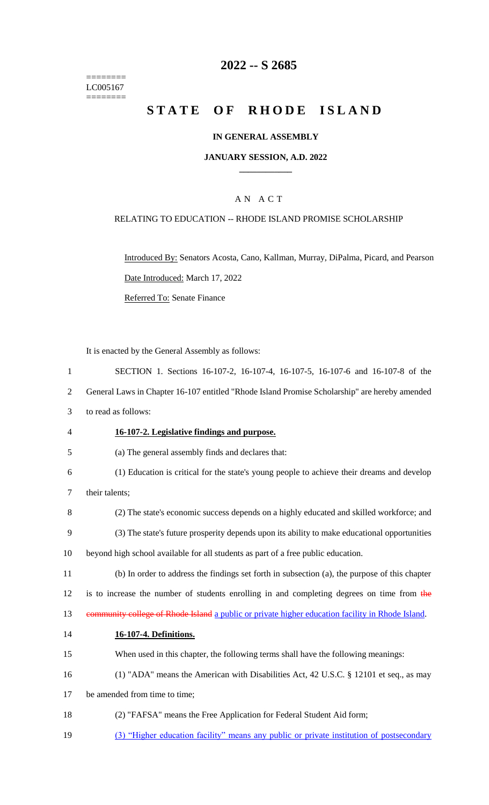======== LC005167  $=$ 

# **2022 -- S 2685**

# **STATE OF RHODE ISLAND**

## **IN GENERAL ASSEMBLY**

#### **JANUARY SESSION, A.D. 2022 \_\_\_\_\_\_\_\_\_\_\_\_**

# A N A C T

### RELATING TO EDUCATION -- RHODE ISLAND PROMISE SCHOLARSHIP

Introduced By: Senators Acosta, Cano, Kallman, Murray, DiPalma, Picard, and Pearson Date Introduced: March 17, 2022 Referred To: Senate Finance

It is enacted by the General Assembly as follows:

| $\mathbf{1}$   | SECTION 1. Sections 16-107-2, 16-107-4, 16-107-5, 16-107-6 and 16-107-8 of the                   |
|----------------|--------------------------------------------------------------------------------------------------|
| $\overline{2}$ | General Laws in Chapter 16-107 entitled "Rhode Island Promise Scholarship" are hereby amended    |
| 3              | to read as follows:                                                                              |
| 4              | 16-107-2. Legislative findings and purpose.                                                      |
| 5              | (a) The general assembly finds and declares that:                                                |
| 6              | (1) Education is critical for the state's young people to achieve their dreams and develop       |
| 7              | their talents;                                                                                   |
| 8              | (2) The state's economic success depends on a highly educated and skilled workforce; and         |
| 9              | (3) The state's future prosperity depends upon its ability to make educational opportunities     |
| 10             | beyond high school available for all students as part of a free public education.                |
| 11             | (b) In order to address the findings set forth in subsection (a), the purpose of this chapter    |
| 12             | is to increase the number of students enrolling in and completing degrees on time from the       |
| 13             | community college of Rhode Island a public or private higher education facility in Rhode Island. |
| 14             | 16-107-4. Definitions.                                                                           |
| 15             | When used in this chapter, the following terms shall have the following meanings:                |
| 16             | (1) "ADA" means the American with Disabilities Act, 42 U.S.C. § 12101 et seq., as may            |
| 17             | be amended from time to time;                                                                    |
| 18             | (2) "FAFSA" means the Free Application for Federal Student Aid form;                             |
| 19             | (3) "Higher education facility" means any public or private institution of postsecondary         |
|                |                                                                                                  |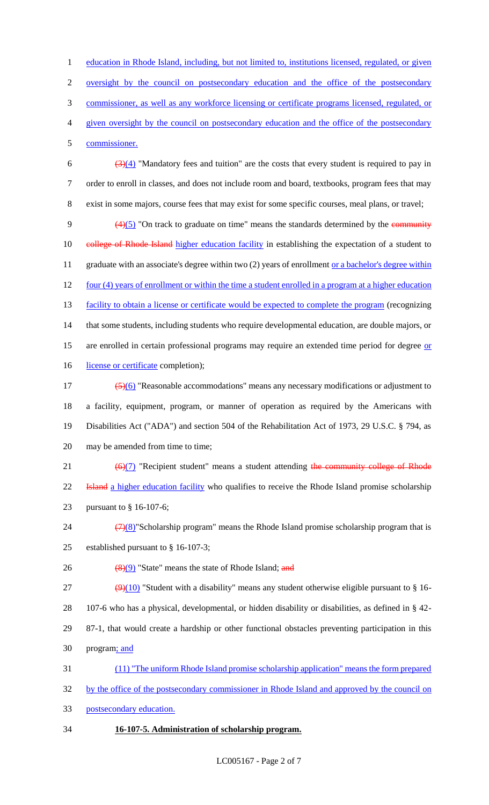1 education in Rhode Island, including, but not limited to, institutions licensed, regulated, or given

2 oversight by the council on postsecondary education and the office of the postsecondary

3 commissioner, as well as any workforce licensing or certificate programs licensed, regulated, or

4 given oversight by the council on postsecondary education and the office of the postsecondary

5 commissioner.

6  $\left(\frac{3(4)}{4}\right)$  "Mandatory fees and tuition" are the costs that every student is required to pay in 7 order to enroll in classes, and does not include room and board, textbooks, program fees that may 8 exist in some majors, course fees that may exist for some specific courses, meal plans, or travel;

9  $(4)(5)$  "On track to graduate on time" means the standards determined by the community 10 eollege of Rhode Island higher education facility in establishing the expectation of a student to 11 graduate with an associate's degree within two (2) years of enrollment or a bachelor's degree within 12 four (4) years of enrollment or within the time a student enrolled in a program at a higher education 13 facility to obtain a license or certificate would be expected to complete the program (recognizing 14 that some students, including students who require developmental education, are double majors, or 15 are enrolled in certain professional programs may require an extended time period for degree or 16 license or certificate completion);

 $\frac{(5)(6)}{8}$  "Reasonable accommodations" means any necessary modifications or adjustment to 18 a facility, equipment, program, or manner of operation as required by the Americans with 19 Disabilities Act ("ADA") and section 504 of the Rehabilitation Act of 1973, 29 U.S.C. § 794, as 20 may be amended from time to time;

21  $(6)(7)$  "Recipient student" means a student attending the community college of Rhode 22 **Island** a higher education facility who qualifies to receive the Rhode Island promise scholarship 23 pursuant to § 16-107-6;

- 24  $(7)(8)$ "Scholarship program" means the Rhode Island promise scholarship program that is 25 established pursuant to § 16-107-3;
- 26  $\left(\frac{8(9)}{9}\right)$  "State" means the state of Rhode Island; and

 $(9)(10)$  "Student with a disability" means any student otherwise eligible pursuant to § 16- 107-6 who has a physical, developmental, or hidden disability or disabilities, as defined in § 42- 87-1, that would create a hardship or other functional obstacles preventing participation in this program; and

31 (11) "The uniform Rhode Island promise scholarship application" means the form prepared

32 by the office of the postsecondary commissioner in Rhode Island and approved by the council on

33 postsecondary education.

# 34 **16-107-5. Administration of scholarship program.**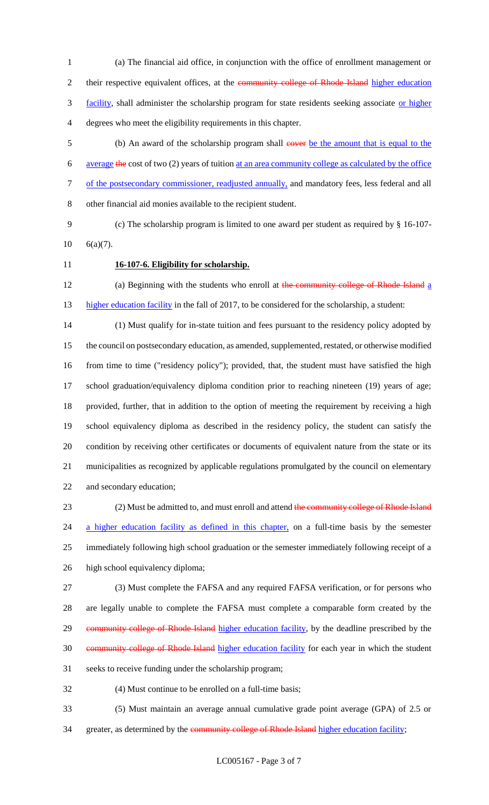(a) The financial aid office, in conjunction with the office of enrollment management or 2 their respective equivalent offices, at the community college of Rhode Island higher education 3 facility, shall administer the scholarship program for state residents seeking associate or higher degrees who meet the eligibility requirements in this chapter.

- 5 (b) An award of the scholarship program shall cover be the amount that is equal to the average the cost of two (2) years of tuition at an area community college as calculated by the office of the postsecondary commissioner, readjusted annually, and mandatory fees, less federal and all other financial aid monies available to the recipient student.
- (c) The scholarship program is limited to one award per student as required by § 16-107- 6(a)(7).
- 

### **16-107-6. Eligibility for scholarship.**

12 (a) Beginning with the students who enroll at the community college of Rhode Island a 13 higher education facility in the fall of 2017, to be considered for the scholarship, a student:

 (1) Must qualify for in-state tuition and fees pursuant to the residency policy adopted by the council on postsecondary education, as amended, supplemented, restated, or otherwise modified from time to time ("residency policy"); provided, that, the student must have satisfied the high school graduation/equivalency diploma condition prior to reaching nineteen (19) years of age; provided, further, that in addition to the option of meeting the requirement by receiving a high school equivalency diploma as described in the residency policy, the student can satisfy the condition by receiving other certificates or documents of equivalent nature from the state or its municipalities as recognized by applicable regulations promulgated by the council on elementary and secondary education;

23 (2) Must be admitted to, and must enroll and attend the community college of Rhode Island 24 a higher education facility as defined in this chapter, on a full-time basis by the semester immediately following high school graduation or the semester immediately following receipt of a high school equivalency diploma;

 (3) Must complete the FAFSA and any required FAFSA verification, or for persons who are legally unable to complete the FAFSA must complete a comparable form created by the 29 community college of Rhode Island higher education facility, by the deadline prescribed by the 30 community college of Rhode Island higher education facility for each year in which the student seeks to receive funding under the scholarship program;

(4) Must continue to be enrolled on a full-time basis;

 (5) Must maintain an average annual cumulative grade point average (GPA) of 2.5 or 34 greater, as determined by the community college of Rhode Island higher education facility;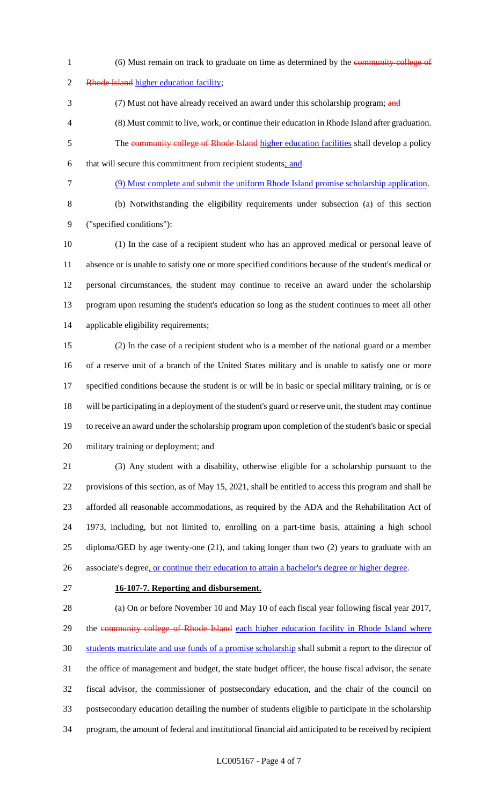1 (6) Must remain on track to graduate on time as determined by the community college of 2 Rhode Island higher education facility; 3 (7) Must not have already received an award under this scholarship program; and (8) Must commit to live, work, or continue their education in Rhode Island after graduation. 5 The community college of Rhode Island higher education facilities shall develop a policy that will secure this commitment from recipient students; and (9) Must complete and submit the uniform Rhode Island promise scholarship application.

 (b) Notwithstanding the eligibility requirements under subsection (a) of this section ("specified conditions"):

 (1) In the case of a recipient student who has an approved medical or personal leave of absence or is unable to satisfy one or more specified conditions because of the student's medical or personal circumstances, the student may continue to receive an award under the scholarship program upon resuming the student's education so long as the student continues to meet all other applicable eligibility requirements;

 (2) In the case of a recipient student who is a member of the national guard or a member of a reserve unit of a branch of the United States military and is unable to satisfy one or more specified conditions because the student is or will be in basic or special military training, or is or will be participating in a deployment of the student's guard or reserve unit, the student may continue to receive an award under the scholarship program upon completion of the student's basic or special military training or deployment; and

 (3) Any student with a disability, otherwise eligible for a scholarship pursuant to the provisions of this section, as of May 15, 2021, shall be entitled to access this program and shall be afforded all reasonable accommodations, as required by the ADA and the Rehabilitation Act of 1973, including, but not limited to, enrolling on a part-time basis, attaining a high school diploma/GED by age twenty-one (21), and taking longer than two (2) years to graduate with an 26 associate's degree, or continue their education to attain a bachelor's degree or higher degree.

### **16-107-7. Reporting and disbursement.**

 (a) On or before November 10 and May 10 of each fiscal year following fiscal year 2017, 29 the community college of Rhode Island each higher education facility in Rhode Island where students matriculate and use funds of a promise scholarship shall submit a report to the director of the office of management and budget, the state budget officer, the house fiscal advisor, the senate fiscal advisor, the commissioner of postsecondary education, and the chair of the council on postsecondary education detailing the number of students eligible to participate in the scholarship program, the amount of federal and institutional financial aid anticipated to be received by recipient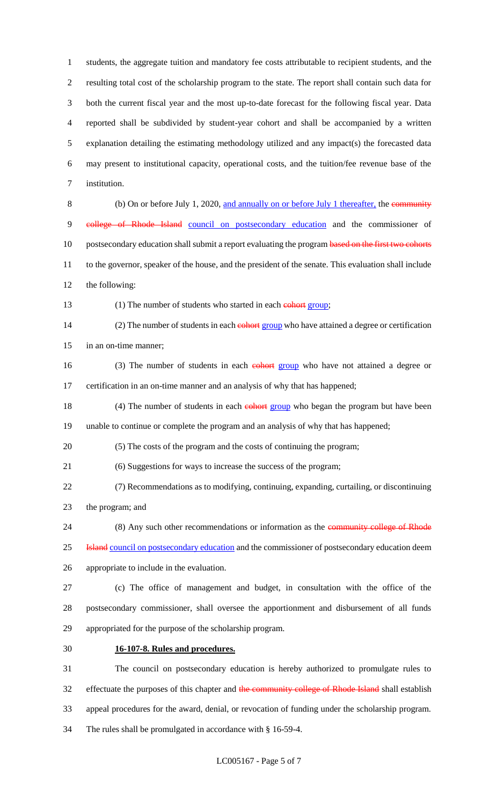students, the aggregate tuition and mandatory fee costs attributable to recipient students, and the resulting total cost of the scholarship program to the state. The report shall contain such data for both the current fiscal year and the most up-to-date forecast for the following fiscal year. Data reported shall be subdivided by student-year cohort and shall be accompanied by a written explanation detailing the estimating methodology utilized and any impact(s) the forecasted data may present to institutional capacity, operational costs, and the tuition/fee revenue base of the institution. (b) On or before July 1, 2020, and annually on or before July 1 thereafter, the community

 college of Rhode Island council on postsecondary education and the commissioner of 10 postsecondary education shall submit a report evaluating the program based on the first two cohorts to the governor, speaker of the house, and the president of the senate. This evaluation shall include the following:

#### 13 (1) The number of students who started in each comparison (1)

14 (2) The number of students in each **cohort group** who have attained a degree or certification in an on-time manner;

16 (3) The number of students in each **cohort group** who have not attained a degree or certification in an on-time manner and an analysis of why that has happened;

18 (4) The number of students in each **cohort group** who began the program but have been unable to continue or complete the program and an analysis of why that has happened;

(5) The costs of the program and the costs of continuing the program;

(6) Suggestions for ways to increase the success of the program;

 (7) Recommendations as to modifying, continuing, expanding, curtailing, or discontinuing the program; and

24 (8) Any such other recommendations or information as the community college of Rhode

**Island** council on postsecondary education and the commissioner of postsecondary education deem

appropriate to include in the evaluation.

 (c) The office of management and budget, in consultation with the office of the postsecondary commissioner, shall oversee the apportionment and disbursement of all funds appropriated for the purpose of the scholarship program.

# **16-107-8. Rules and procedures.**

 The council on postsecondary education is hereby authorized to promulgate rules to 32 effectuate the purposes of this chapter and the community college of Rhode Island shall establish appeal procedures for the award, denial, or revocation of funding under the scholarship program. The rules shall be promulgated in accordance with § 16-59-4.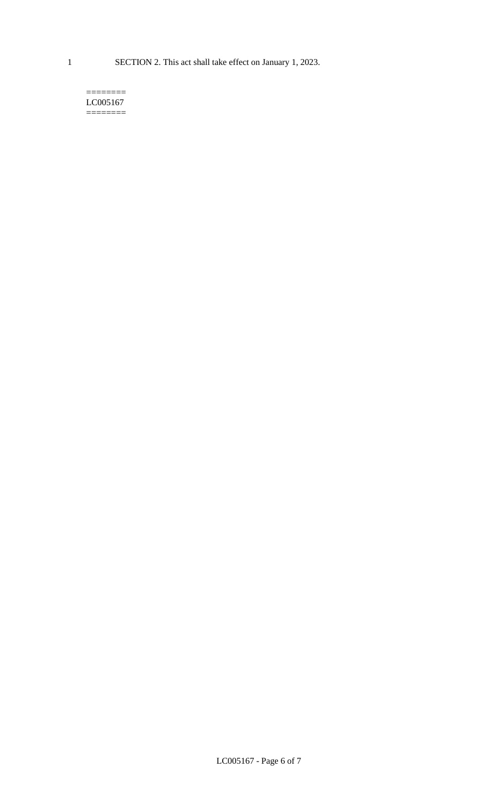1 SECTION 2. This act shall take effect on January 1, 2023.

#### $=$ LC005167 ========